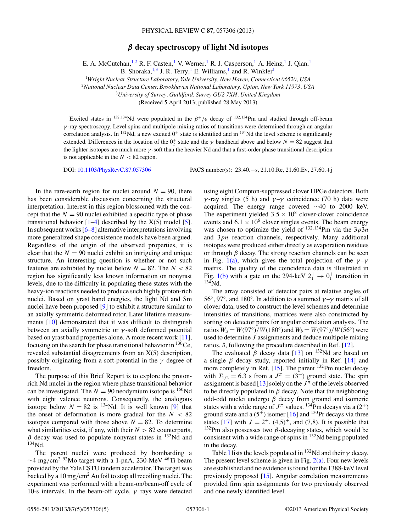## *β* **decay spectroscopy of light Nd isotopes**

E. A. McCutchan, <sup>1,2</sup> R. F. Casten,<sup>1</sup> V. Werner,<sup>1</sup> R. J. Casperson,<sup>1</sup> A. Heinz,<sup>1</sup> J. Qian,<sup>1</sup>

B. Shoraka, $^{1,3}$  J. R. Terry,<sup>1</sup> E. Williams,<sup>1</sup> and R. Winkler<sup>1</sup>

<sup>1</sup>*Wright Nuclear Structure Laboratory, Yale University, New Haven, Connecticut 06520, USA*

<sup>2</sup>*National Nuclear Data Center, Brookhaven National Laboratory, Upton, New York 11973, USA*

<sup>3</sup>*University of Surrey, Guildford, Surrey GU2 7XH, United Kingdom*

(Received 5 April 2013; published 28 May 2013)

Excited states in <sup>132,134</sup>Nd were populated in the  $\beta^+/\epsilon$  decay of <sup>132,134</sup>Pm and studied through off-beam *γ* -ray spectroscopy. Level spins and multipole mixing ratios of transitions were determined through an angular correlation analysis. In  $132$ Nd, a new excited  $0^+$  state is identified and in  $134$ Nd the level scheme is significantly extended. Differences in the location of the  $0^+_2$  state and the  $\gamma$  bandhead above and below  $N = 82$  suggest that the lighter isotopes are much more *γ* -soft than the heavier Nd and that a first-order phase transitional description is not applicable in the  $N < 82$  region.

DOI: [10.1103/PhysRevC.87.057306](http://dx.doi.org/10.1103/PhysRevC.87.057306) PACS number(s): 23*.*40*.*−s, 21*.*10*.*Re, 21*.*60*.*Ev, 27*.*60*.*+j

In the rare-earth region for nuclei around  $N = 90$ , there has been considerable discussion concerning the structural interpretation. Interest in this region blossomed with the concept that the  $N = 90$  nuclei exhibited a specific type of phase transitional behavior  $[1-4]$  described by the  $X(5)$  model  $[5]$ . In subsequent works  $[6–8]$  alternative interpretations involving more generalized shape coexistence models have been argued. Regardless of the origin of the observed properties, it is clear that the  $N = 90$  nuclei exhibit an intriguing and unique structure. An interesting question is whether or not such features are exhibited by nuclei below  $N = 82$ . The  $N < 82$ region has significantly less known information on nonyrast levels, due to the difficulty in populating these states with the heavy-ion reactions needed to produce such highly proton-rich nuclei. Based on yrast band energies, the light Nd and Sm nuclei have been proposed [\[9\]](#page-4-0) to exhibit a structure similar to an axially symmetric deformed rotor. Later lifetime measurements [\[10\]](#page-4-0) demonstrated that it was difficult to distinguish between an axially symmetric or *γ* -soft deformed potential based on yrast band properties alone. A more recent work [\[11\]](#page-4-0), focusing on the search for phase transitional behavior in  $^{130}Ce$ , revealed substantial disagreements from an X(5) description, possibly originating from a soft-potential in the *γ* degree of freedom.

The purpose of this Brief Report is to explore the protonrich Nd nuclei in the region where phase transitional behavior can be investigated. The  $N = 90$  neodymium isotope is <sup>150</sup>Nd with eight valence neutrons. Consequently, the analogous isotope below  $N = 82$  is <sup>134</sup>Nd. It is well known [\[9\]](#page-4-0) that the onset of deformation is more gradual for the  $N < 82$ isotopes compared with those above  $N = 82$ . To determine what similarities exist, if any, with their  $N > 82$  counterparts,  $\beta$  decay was used to populate nonyrast states in  $^{132}$ Nd and 134Nd.

The parent nuclei were produced by bombarding a <sup>∼</sup>4 mg*/*cm2 92Mo target with a 1-pnA, 230-MeV 46Ti beam provided by the Yale ESTU tandem accelerator. The target was backed by a 10 mg*/*cm2 Au foil to stop all recoiling nuclei. The experiment was performed with a beam-on/beam-off cycle of 10-s intervals. In the beam-off cycle, *γ* rays were detected

using eight Compton-suppressed clover HPGe detectors. Both *γ*-ray singles (5 h) and  $\gamma$ -*γ* coincidence (70 h) data were acquired. The energy range covered ∼40 to 2000 keV. The experiment yielded  $3.5 \times 10^8$  clover-clover coincidence events and  $6.1 \times 10^6$  clover singles events. The beam energy was chosen to optimize the yield of <sup>132</sup>*,*134Pm via the 3*p*3*n* and 3*pn* reaction channels, respectively. Many additional isotopes were produced either directly as evaporation residues or through *β* decay. The strong reaction channels can be seen in Fig. [1\(a\),](#page-1-0) which gives the total projection of the  $\gamma - \gamma$ matrix. The quality of the coincidence data is illustrated in Fig. [1\(b\)](#page-1-0) with a gate on the 294-keV  $2^+_1 \rightarrow 0^+_1$  transition in  $134$ Nd.

The array consisted of detector pairs at relative angles of 56◦, 97◦, and 180◦. In addition to a summed *γ* –*γ* matrix of all clover data, used to construct the level schemes and determine intensities of transitions, matrices were also constructed by sorting on detector pairs for angular correlation analysis. The ratios  $W_a = W(97°)/W(180°)$  and  $W_b = W(97°)/W(56°)$  were used to determine *J* assignments and deduce multipole mixing ratios,  $δ$ , following the procedure described in Ref. [\[12\]](#page-4-0).

The evaluated  $\beta$  decay data [\[13\]](#page-4-0) on <sup>132</sup>Nd are based on a single *β* decay study, reported initially in Ref. [\[14\]](#page-4-0) and more completely in Ref.  $[15]$ . The parent  $^{132}$ Pm nuclei decay with  $T_{1/2} = 6.3$  s from a  $J^{\pi} = (3^+)$  ground state. The spin assignment is based [\[13\]](#page-4-0) solely on the  $J^{\pi}$  of the levels observed to be directly populated in  $\beta$  decay. Note that the neighboring odd-odd nuclei undergo *β* decay from ground and isomeric states with a wide range of  $J^{\pi}$  values. <sup>134</sup>Pm decays via a (2<sup>+</sup>) ground state and a  $(5^{\dot{+}})$  isomer [\[16\]](#page-4-0) and <sup>130</sup>Pr decays via three states [\[17\]](#page-4-0) with  $J = 2^+$ , (4,5)<sup>+</sup>, and (7,8). It is possible that <sup>132</sup>Pm also possesses two  $β$ -decaying states, which would be consistent with a wide range of spins in  $^{132}$ Nd being populated in the decay.

Table [I](#page-1-0) lists the levels populated in  $132$ Nd and their  $\gamma$  decay. The present level scheme is given in Fig.  $2(a)$ . Four new levels are established and no evidence is found for the 1388-keV level previously proposed [\[15\]](#page-4-0). Angular correlation measurements provided firm spin assignments for two previously observed and one newly identified level.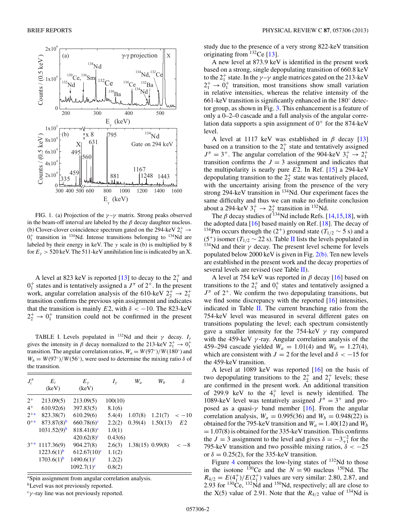<span id="page-1-0"></span>

FIG. 1. (a) Projection of the *γ* –*γ* matrix. Strong peaks observed in the beam-off interval are labeled by the  $\beta$  decay daughter nucleus. (b) Clover-clover coincidence spectrum gated on the 294-keV  $2^+_1 \rightarrow$  $0<sub>1</sub><sup>+</sup>$  transition in <sup>134</sup>Nd. Intense transitions belonging to <sup>134</sup>Nd are labeled by their energy in keV. The *y* scale in (b) is multiplied by 8 for  $E_y > 520$  keV. The 511-keV annihilation line is indicated by an X.

A level at 823 keV is reported [\[13\]](#page-4-0) to decay to the  $2^+_1$  and  $0<sub>1</sub><sup>+</sup>$  states and is tentatively assigned a  $J<sup>\pi</sup>$  of  $2<sup>+</sup>$ . In the present work, angular correlation analysis of the 610-keV  $2^+_2 \rightarrow 2^+_1$ transition confirms the previous spin assignment and indicates that the transition is mainly *E*2, with  $\delta$  < -10. The 823-keV  $2^+_2 \rightarrow 0^+_1$  transition could not be confirmed in the present

TABLE I. Levels populated in <sup>132</sup>Nd and their  $\gamma$  decay.  $I_{\gamma}$ gives the intensity in  $\beta$  decay normalized to the 213-keV  $2_1^+ \rightarrow 0_1^+$ transition. The angular correlation ratios,  $W_a = W(97°)/W(180°)$  and  $W_b = W(97°)/W(56°)$ , were used to determine the mixing ratio  $\delta$  of the transition.

| $J_i^{\pi}$ | $E_i$<br>(keV)         | $E_{\nu}$<br>(keV)        | $I_{\nu}$ | $W_a$              | $W_h$    | δ              |
|-------------|------------------------|---------------------------|-----------|--------------------|----------|----------------|
| $2^+$       | 213.09(5)              | 213.09(5)                 | 100(10)   |                    |          |                |
| $4^+$       | 610.92(6)              | 397.83(5)                 | 8.1(6)    |                    |          |                |
| $2+a$       | 823.38(7)              | 610.29(6)                 | 5.4(4)    | 1.07(8)            | 1.21(7)  | $<-10$         |
| $0+a$       | $873.87(8)^b$          | $660.78(6)$ <sup>c</sup>  | 2.2(2)    | 0.39(4)            | 1.50(13) | E <sub>2</sub> |
|             | $1031.52(9)^b$         | $818.41(8)^c$             | 1.0(1)    |                    |          |                |
|             |                        | $420.62(8)^c$             | 0.43(6)   |                    |          |                |
| $3+a$       | 1117.36(9)             | 904.27(8)                 | 2.6(3)    | $1.38(15)$ 0.99(8) |          | $-8$           |
|             | 1223.6(1) <sup>b</sup> | $612.67(10)$ <sup>c</sup> | 1.1(2)    |                    |          |                |
|             | $1703.6(1)^{b}$        | $1490.6(1)^c$             | 1.2(2)    |                    |          |                |
|             |                        | $1092.7(1)^c$             | 0.8(2)    |                    |          |                |

a Spin assignment from angular correlation analysis.

<sup>b</sup>Level was not previously reported.

<sup>c</sup>γ-ray line was not previously reported.

study due to the presence of a very strong 822-keV transition originating from 132Ce [\[13\]](#page-4-0).

A new level at 873.9 keV is identified in the present work based on a strong, single depopulating transition of 660.8 keV to the  $2^+_1$  state. In the  $\gamma-\gamma$  angle matrices gated on the 213-keV  $2^+_1 \rightarrow 0^+_1$  transition, most transitions show small variation in relative intensities, whereas the relative intensity of the 661-keV transition is significantly enhanced in the 180◦ detector group, as shown in Fig. [3.](#page-2-0) This enhancement is a feature of only a 0–2–0 cascade and a full analysis of the angular correlation data supports a spin assignment of  $0^+$  for the 874-keV level.

A level at 1117 keV was established in *β* decay [\[13\]](#page-4-0) based on a transition to the  $2^+_1$  state and tentatively assigned  $J^{\pi} = 3^{+}$ . The angular correlation of the 904-keV  $3^{+}_{1} \rightarrow 2^{+}_{1}$ transition confirms the  $J = 3$  assignment and indicates that the multipolarity is nearly pure *E*2. In Ref. [\[15\]](#page-4-0) a 294-keV depopulating transition to the  $2^+_2$  state was tentatively placed, with the uncertainty arising from the presence of the very strong 294-keV transition in 134Nd. Our experiment faces the same difficulty and thus we can make no definite conclusion about a 294-keV  $3^+_1 \rightarrow 2^+_2$  transition in <sup>132</sup>Nd.

The  $\beta$  decay studies of <sup>134</sup>Nd include Refs. [\[14,15,18\]](#page-4-0), with the adopted data [\[16\]](#page-4-0) based mainly on Ref. [\[18\]](#page-4-0). The decay of <sup>134</sup>Pm occurs through the (2<sup>+</sup>) ground state ( $T_{1/2}$  ~ 5 s) and a (5<sup>+</sup>) isomer ( $T_{1/2}$  ~ 22 s). Table [II](#page-3-0) lists the levels populated in <sup>134</sup>Nd and their  $\gamma$  decay. The present level scheme for levels populated below 2000 keV is given in Fig. [2\(b\).](#page-2-0) Ten new levels are established in the present work and the decay properties of several levels are revised (see Table [II\)](#page-3-0).

A level at 754 keV was reported in *β* decay [\[16\]](#page-4-0) based on transitions to the  $2^+_1$  and  $0^+_1$  states and tentatively assigned a  $J^{\pi}$  of 2<sup>+</sup>. We confirm the two depopulating transitions, but we find some discrepancy with the reported [\[16\]](#page-4-0) intensities, indicated in Table [II.](#page-3-0) The current branching ratio from the 754-keV level was measured in several different gates on transitions populating the level; each spectrum consistently gave a smaller intensity for the 754-keV *γ* ray compared with the 459-keV *γ* -ray. Angular correlation analysis of the 459–294 cascade yielded  $W_a = 1.01(4)$  and  $W_b = 1.27(4)$ , which are consistent with  $J = 2$  for the level and  $\delta < -15$  for the 459-keV transition.

A level at 1089 keV was reported [\[16\]](#page-4-0) on the basis of two depopulating transitions to the  $2^+_2$  and  $2^+_1$  levels; these are confirmed in the present work. An additional transition of 299.9 keV to the  $4^{\dagger}_{1}$  level is newly identified. The 1089-keV level was tentatively assigned  $J^{\pi} = 3^{+}$  and proposed as a quasi- $\gamma$  band member [\[16\]](#page-4-0). From the angular correlation analysis,  $W_a = 0.995(36)$  and  $W_b = 0.948(22)$  is obtained for the 795-keV transition and  $W_a = 1.40(12)$  and  $W_b$  $= 1.07(8)$  is obtained for the 335-keV transition. This confirms the *J* = 3 assignment to the level and gives  $\delta = -3^{-2}_{+1}$  for the 795-keV transition and two possible mixing ratios,  $\delta < -25$ or  $\delta = 0.25(2)$ , for the 335-keV transition.

Figure [4](#page-2-0) compares the low-lying states of  $^{132}$ Nd to those in the isotone <sup>130</sup>Ce and the  $N = 90$  nucleus <sup>150</sup>Nd. The  $R_{4/2} = E(4_1^+)/E(2_1^+)$  values are very similar: 2.80, 2.87, and  $2.93$  for  $130$ Ce,  $132$ Nd and  $150$ Nd, respectively; all are close to the X(5) value of 2.91. Note that the  $R_{4/2}$  value of <sup>134</sup>Nd is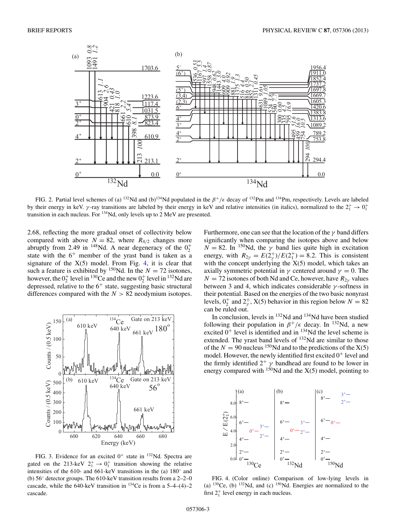<span id="page-2-0"></span>

FIG. 2. Partial level schemes of (a) <sup>132</sup>Nd and (b)<sup>134</sup>Nd populated in the  $\beta^+/\epsilon$  decay of <sup>132</sup>Pm and <sup>134</sup>Pm, respectively. Levels are labeled by their energy in keV.  $\gamma$ -ray transitions are labeled by their energy in keV and relative intensities (in italics), normalized to the  $2^+_1 \rightarrow 0^+_1$ transition in each nucleus. For  $^{134}$ Nd, only levels up to 2 MeV are presented.

2.68, reflecting the more gradual onset of collectivity below compared with above  $N = 82$ , where  $R_{4/2}$  changes more abruptly from 2.49 in <sup>148</sup>Nd. A near degeneracy of the  $0^+_2$ state with the  $6^+$  member of the yrast band is taken as a signature of the  $X(5)$  model. From Fig. 4, it is clear that such a feature is exhibited by <sup>150</sup>Nd. In the  $N = 72$  isotones, however, the  $0_2^+$  level in <sup>130</sup>Ce and the new  $0_2^+$  level in <sup>132</sup>Nd are depressed, relative to the  $6^+$  state, suggesting basic structural differences compared with the *N >* 82 neodymium isotopes.



FIG. 3. Evidence for an excited  $0^+$  state in  $^{132}$ Nd. Spectra are gated on the 213-keV  $2^+_1 \rightarrow 0^+_1$  transition showing the relative intensities of the 610- and 661-keV transitions in the (a) 180◦ and (b) 56◦ detector groups. The 610-keV transition results from a 2–2–0 cascade, while the 640-keV transition in  $^{134}$ Ce is from a 5–4–(4)–2 cascade.

Furthermore, one can see that the location of the  $\gamma$  band differs significantly when comparing the isotopes above and below  $N = 82$ . In <sup>150</sup>Nd, the *γ* band lies quite high in excitation energy, with  $R_{2\gamma} = E(2^{+}_{\gamma})/E(2^{+}_{1}) = 8.2$ . This is consistent with the concept underlying the  $X(5)$  model, which takes an axially symmetric potential in  $\gamma$  centered around  $\gamma = 0$ . The  $N = 72$  isotones of both Nd and Ce, however, have  $R_{2\nu}$  values between 3 and 4, which indicates considerable  $\gamma$ -softness in their potential. Based on the energies of the two basic nonyrast levels,  $0^+_2$  and  $2^+_7$ , X(5) behavior in this region below  $N = 82$ can be ruled out.

In conclusion, levels in 132Nd and 134Nd have been studied following their population in  $\beta^+/\epsilon$  decay. In <sup>132</sup>Nd, a new excited  $0^+$  level is identified and in  $^{134}$ Nd the level scheme is extended. The yrast band levels of <sup>132</sup>Nd are similar to those of the  $N = 90$  nucleus <sup>150</sup>Nd and to the predictions of the  $X(5)$ model. However, the newly identified first excited  $0^+$  level and the firmly identified  $2^+$   $\gamma$  bandhead are found to be lower in energy compared with  $150$ Nd and the  $X(5)$  model, pointing to



FIG. 4. (Color online) Comparison of low-lying levels in (a)  $130$ Ce, (b)  $132$ Nd, and (c)  $150$ Nd. Energies are normalized to the first  $2_1^+$  level energy in each nucleus.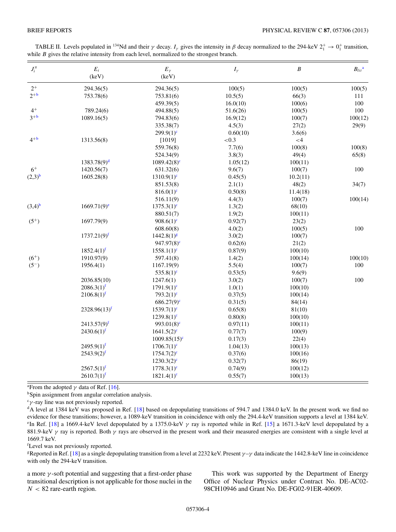| $J_i^{\pi}$ | $E_i$<br>(keV)            | $E_{\gamma}$<br>(keV)     | $I_\gamma$ | $\boldsymbol{B}$ | $B_{lit}$ <sup>a</sup> |
|-------------|---------------------------|---------------------------|------------|------------------|------------------------|
| $2^+$       | 294.36(5)                 | 294.36(5)                 | 100(5)     | 100(5)           | 100(5)                 |
| $2^{+b}$    | 753.78(6)                 | 753.81(6)                 | 10.5(5)    | 66(3)            | 111                    |
|             |                           | 459.39(5)                 | 16.0(10)   | 100(6)           | 100                    |
| $4^+$       | 789.24(6)                 | 494.88(5)                 | 51.6(26)   | 100(5)           | 100                    |
| $3^{+b}$    | 1089.16(5)                | 794.83(6)                 | 16.9(12)   | 100(7)           | 100(12)                |
|             |                           | 335.38(7)                 | 4.5(3)     | 27(2)            | 29(9)                  |
|             |                           | $299.9(1)$ <sup>c</sup>   | 0.60(10)   | 3.6(6)           |                        |
| $4^{+b}$    | 1313.56(8)                | [1019]                    | ${<}0.3$   | $<$ 4            |                        |
|             |                           | 559.76(8)                 | 7.7(6)     | 100(8)           | 100(8)                 |
|             |                           | 524.34(9)                 | 3.8(3)     | 49(4)            | 65(8)                  |
|             | $1383.78(9)^d$            | $1089.42(8)$ <sup>c</sup> | 1.05(12)   | 100(11)          |                        |
| $6+$        | 1420.56(7)                | 631.32(6)                 | 9.6(7)     | 100(7)           | 100                    |
| $(2,3)^{b}$ | 1605.28(8)                | $1310.9(1)$ <sup>c</sup>  | 0.45(5)    | 10.2(11)         |                        |
|             |                           | 851.53(8)                 | 2.1(1)     | 48(2)            | 34(7)                  |
|             |                           | $816.0(1)$ <sup>c</sup>   | 0.50(8)    | 11.4(18)         |                        |
|             |                           | 516.11(9)                 | 4.4(3)     | 100(7)           | 100(14)                |
| $(3,4)^{b}$ | $1669.71(9)$ <sup>e</sup> | $1375.3(1)$ <sup>c</sup>  | 1.3(2)     | 68(10)           |                        |
|             |                           | 880.51(7)                 | 1.9(2)     | 100(11)          |                        |
| $(5^{+})$   | 1697.79(9)                | $908.6(1)^c$              | 0.92(7)    | 23(2)            |                        |
|             |                           | 608.60(8)                 | 4.0(2)     | 100(5)           | 100                    |
|             | $1737.21(9)^f$            | $1442.8(1)$ <sup>g</sup>  | 3.0(2)     | 100(7)           |                        |
|             |                           | $947.97(8)^c$             | 0.62(6)    | 21(2)            |                        |
|             | $1852.4(1)^f$             | $1558.1(1)^c$             | 0.87(9)    | 100(10)          |                        |
| $(6^{+})$   | 1910.97(9)                | 597.41(8)                 | 1.4(2)     | 100(14)          | 100(10)                |
| $(5^{-})$   | 1956.4(1)                 | 1167.19(9)                | 5.5(4)     | 100(7)           | 100                    |
|             |                           | 535.8 $(1)^c$             | 0.53(5)    | 9.6(9)           |                        |
|             | 2036.85(10)               | 1247.6(1)                 | 3.0(2)     | 100(7)           | 100                    |
|             | $2086.3(1)^f$             | $1791.9(1)^c$             | 1.0(1)     | 100(10)          |                        |
|             | $2106.8(1)^f$             | $793.2(1)$ <sup>c</sup>   | 0.37(5)    | 100(14)          |                        |
|             |                           | $686.27(9)$ <sup>c</sup>  | 0.31(5)    | 84(14)           |                        |
|             | $2328.96(13)^f$           | $1539.7(1)$ <sup>c</sup>  | 0.65(8)    | 81(10)           |                        |
|             |                           | $1239.8(1)^c$             | 0.80(8)    | 100(10)          |                        |
|             | $2413.57(9)^f$            | $993.01(8)^c$             | 0.97(11)   | 100(11)          |                        |
|             | $2430.6(1)^f$             | $1641.5(2)^c$             | 0.77(7)    | 100(9)           |                        |
|             |                           | $1009.85(15)^c$           | 0.17(3)    | 22(4)            |                        |
|             | $2495.9(1)^f$             | $1706.7(1)^c$             | 1.04(13)   | 100(13)          |                        |
|             | $2543.9(2)^f$             | $1754.7(2)^c$             | 0.37(6)    | 100(16)          |                        |
|             |                           | $1230.3(2)^{c}$           | 0.32(7)    | 86(19)           |                        |
|             | $2567.5(1)^f$             | $1778.3(1)$ <sup>c</sup>  | 0.74(9)    | 100(12)          |                        |
|             | $2610.7(1)^f$             | $1821.4(1)$ <sup>c</sup>  | 0.55(7)    | 100(13)          |                        |

<span id="page-3-0"></span>

| TABLE II. Levels populated in <sup>134</sup> Nd and their $\gamma$ decay. $I_{\gamma}$ gives the intensity in $\beta$ decay normalized to the 294-keV $2^{+}_{1} \rightarrow 0^{+}_{1}$ transition, |  |
|-----------------------------------------------------------------------------------------------------------------------------------------------------------------------------------------------------|--|
| while $B$ gives the relative intensity from each level, normalized to the strongest branch.                                                                                                         |  |

<sup>a</sup>From the adopted  $\gamma$  data of Ref. [16].

<sup>b</sup>Spin assignment from angular correlation analysis.

 $\mathbf{r}$   $\gamma$ -ray line was not previously reported.

<sup>d</sup>A level at 1384 keV was proposed in Ref. [18] based on depopulating transitions of 594.7 and 1384.0 keV. In the present work we find no evidence for these transitions; however, a 1089-keV transition in coincidence with only the 294.4-keV transition supports a level at 1384 keV. <sup>e</sup>In Ref. [18] a 1669.4-keV level depopulated by a 1375.0-keV  $\gamma$  ray is reported while in Ref. [15] a 1671.3-keV level depopulated by a 881.9-keV  $\gamma$  ray is reported. Both  $\gamma$  rays are observed in the present work and their measured energies are consistent with a single level at 1669.7 keV.

<sup>f</sup>Level was not previously reported.

<sup>g</sup>Reported in Ref. [18] as a single depopulating transition from a level at 2232 keV. Present  $\gamma - \gamma$  data indicate the 1442.8-keV line in coincidence with only the 294-keV transition.

a more  $\gamma$ -soft potential and suggesting that a first-order phase transitional description is not applicable for those nuclei in the  $N < 82$  rare-earth region.

This work was supported by the Department of Energy Office of Nuclear Physics under Contract No. DE-AC02-98CH10946 and Grant No. DE-FG02-91ER-40609.